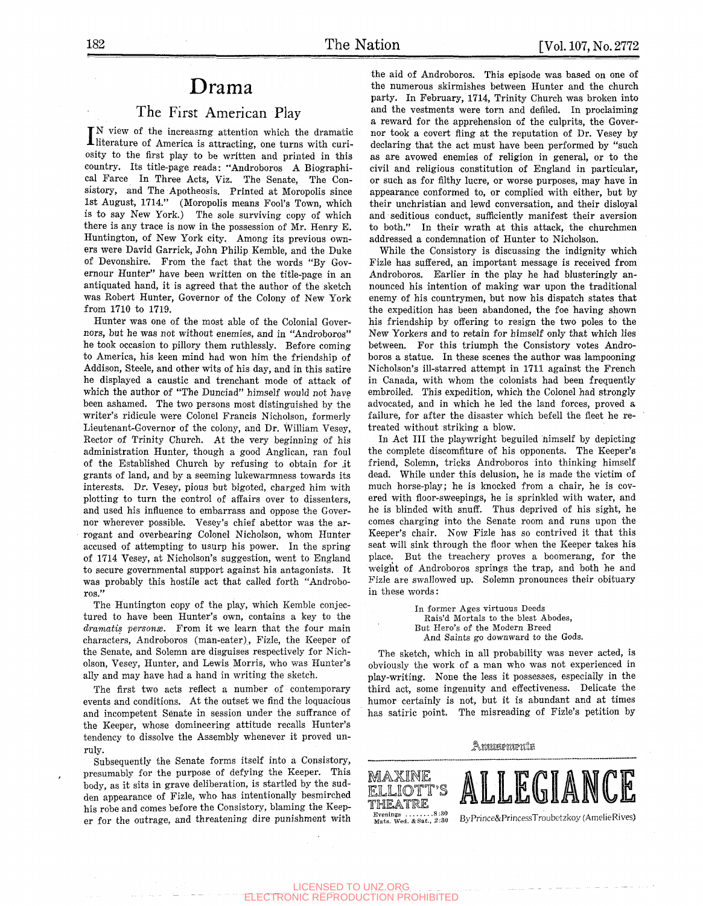# Drama

# The First American Play

IN view of the increasing attention which the dramatic<br>literature of America is attracting, one turns with curi-N view of the increasing- attention which the dramatic osity to the first play to be written and printed in this country. Its title-page reads: "Androboros A Biographical Farce In Three Acts, Viz. The Senate, The Consistory, and The Apotheosis. Printed at Moropolis since 1st August, 1714." (Moropolis means Fool's Town, which is to say New York.) The sole surviving copy of which there is any trace is now in the possession of Mr. Henry E. Huntington, of New York city. Among its previous owners were David Garrick, John Philip Kemble, and the Duke of Devonshire. From the fact that the words "By Govemour Hunter" have been written on the title-page in an antiquated hand, it is agreed that the author of the sketch was Eobert Hunter, Governor of the Colony of New York from 1710 to 1719.

Hunter was one of the most able of the Colonial Governors, but he was not without enemies, and in "Androboros" he took occasion to pillory them ruthlessly. Before coming to America, his keen mind had won him the friendship of Addison, Steele, and other wits of his day, and in this satire he displayed a caustic and trenchant mode of attack of which the author of "The Dunciad" himself would not have been ashamed. The two persons most distinguished by the writer's ridicule were Colonel Francis Nicholson, formerly Lieutenant-Governor of the colony, and Dr. William Vesey, Rector of Trinity Church. At the very beginning of his administration Hunter, though a good Anglican, ran foul of the Established Church by refusing to obtain for it grants of land, and by a seeming lukewarmness towards its interests. Dr. Vesey, pious but bigoted, charged him with plotting to turn the control of affairs over to dissenters, and used his influence to embarrass and oppose the Governor wherever possible. Vesey's chief abettor was the arrogant and overbearing Colonel Nicholson, whom Hunter accused of attempting to usurp his power. In the spring of 1714 Vesey, at Nicholson's suggestion, went to England to secure governmental support against his antagonists. It was probably this hostile act that called forth "Androboros."

The Huntington copy of the play, which Kemble conjectured to have been Hunter's own, contains a key to the dramatis personæ. From it we learn that the four main characters, Androboros (man-eater), Fizle, the Keeper of the Senate, and Solemn are disguises respectively for Nicholson, Vesey, Hunter, and Lewis Morris, who was Hunter's ally and may have had a hand in writing the sketch.

The first two acts reflect a number of contemporary events and conditions. At the outset we find the loquacious and incompetent Senate in session under the suffrance of the Keeper, whose domineering attitude recalls Hunter's tendency to dissolve the Assembly whenever it proved unruly.

Subsequently the Senate forms itself into a Consistory, presumably for the purpose of defying the Keeper. This body, as it sits in grave deliberation, is startled by the sudden appearance of Fizle, who has intentionally besmirched his robe and comes before the Consistory, blaming the Keeper for the outrage, and threatening dire punishment with

the aid of Androboros. This episode was based on one of the numerous skirmishes between Hunter and the church party. In February, 1714, Trinity Church was broken into and the vestments were torn and defiled. In proclaiming a reward for the apprehension of the culprits, the Governor took a covert fling at the reputation of Dr. Vesey by declaring that the act must have been performed by "such as are avowed enemies of religion in general, or to the civil and religious constitution of England in particular, or such as for filthy lucre, or worse purposes, may have in appearance conformed to, or complied with either, but by their unchristian and lewd conversation, and their disloyal and seditious conduct, sufficiently manifest their aversion to both." In their wrath at this attack, the churchmen addressed a condemnation of Hunter to Nicholson.

While the Consistory is discussing the indignity which Fizle has suffered, an important message is received from Androboros. Earlier in the play he had blusteringly announced his intention of making war upon the traditional enemy of his countrymen, but now his dispatch states that the expedition has been abandoned, the foe having shown his friendship by offering to resign the two poles to the New Yorkers and to retain for himself only that which lies between. For this triumph the Consistory votes Androboros a statue. In these scenes the author was lampooning Nicholson's ill-starred attempt in 1711 against the French in Canada, with whom the colonists had been frequently embroiled. This expedition, which the Colonel had strongly advocated, and in which he led the land forces, proved a failure, for after the disaster which befell the fleet he retreated without striking a blow.

In Act III the playwright beguiled himself by depicting the complete discomfiture of his opponents. The Keeper's friend, Solemn, tricks Androboros into thinking himself dead. While under this delusion, he is made the victim of much horse-play; he is knocked from a chair, he is covered with floor-sweepings, he is sprinkled with water, and he is blinded with snuff. Thus deprived of his sight, he comes charging into the Senate room and runs upon the Keeper's chair. Now Fizle has so contrived it that this seat will sink through the floor when the Keeper takes his place. But the treachery proves a boomerang, for the weight of Androboros springs the trap, and both he and Fizle are swallowed up. Solemn pronounces their obituary in these words:

> In former Ages virtuous Deeds Rais'd Mortals to the blest Abodes, But Hero's of the Modern Breed And Saints go downward to the Gods.

The sketch, which in all probability was never acted, is obviously the work of a man who was not experienced in play-writing. None the less it possesses, especially in the third act, some ingenuity and effectiveness. Delicate the humor certainly is not, but it is abundant and at times has satiric point. The misreading of Fizle's petition by

Amusements

Evenings ........8:30 ByPrince&PrincessTroubetzkoy (AmelieRives)

ELLIOTT'S **ALLLEUIAN** 

LICENSED TO UNZ.ORG ELECTRONIC REPRODUCTION PROHIBITED

maxine